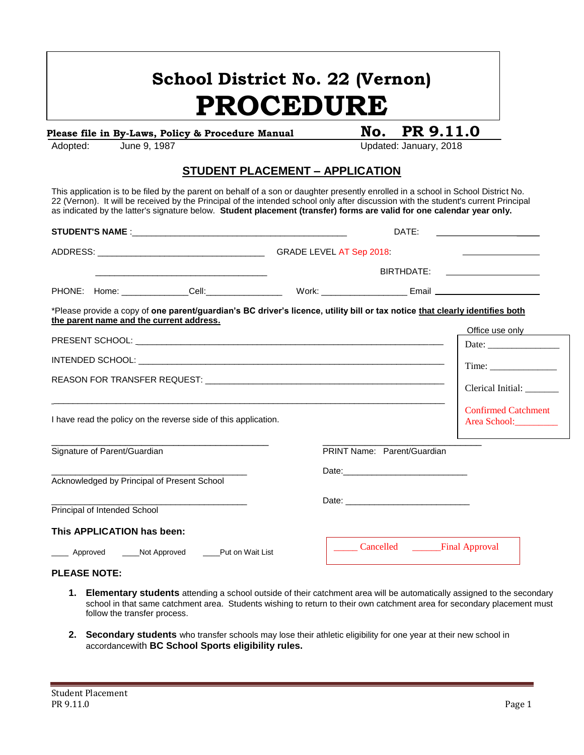# **School District No. 22 (Vernon) PROCEDURE**

### Please file in By-Laws, Policy & Procedure Manual **No. PR 9.11.0**

Adopted: June 9, 1987 **Contract Contract Contract Contract Contract Contract Contract Contract Contract Contract Contract Contract Contract Contract Contract Contract Contract Contract Contract Contract Contract Contract C** 

#### **STUDENT PLACEMENT – APPLICATION**

This application is to be filed by the parent on behalf of a son or daughter presently enrolled in a school in School District No. 22 (Vernon). It will be received by the Principal of the intended school only after discussion with the student's current Principal as indicated by the latter's signature below. **Student placement (transfer) forms are valid for one calendar year only.**

|                                                                                             |                              |                                             |                                                                                                                              | DATE:                       |                                                                                                                      |                                              |  |
|---------------------------------------------------------------------------------------------|------------------------------|---------------------------------------------|------------------------------------------------------------------------------------------------------------------------------|-----------------------------|----------------------------------------------------------------------------------------------------------------------|----------------------------------------------|--|
|                                                                                             |                              |                                             |                                                                                                                              |                             |                                                                                                                      | the control of the control of the control of |  |
|                                                                                             |                              |                                             |                                                                                                                              | BIRTHDATE:                  | <u> Alexandria de la contenta de la contenta de la contenta de la contenta de la contenta de la contenta de la c</u> |                                              |  |
|                                                                                             |                              |                                             |                                                                                                                              |                             |                                                                                                                      |                                              |  |
|                                                                                             |                              | the parent name and the current address.    | *Please provide a copy of one parent/guardian's BC driver's licence, utility bill or tax notice that clearly identifies both |                             |                                                                                                                      |                                              |  |
|                                                                                             |                              |                                             |                                                                                                                              |                             |                                                                                                                      | Office use only                              |  |
|                                                                                             |                              |                                             |                                                                                                                              |                             |                                                                                                                      |                                              |  |
|                                                                                             |                              |                                             |                                                                                                                              |                             |                                                                                                                      | Time:                                        |  |
|                                                                                             |                              |                                             |                                                                                                                              |                             |                                                                                                                      |                                              |  |
|                                                                                             |                              |                                             |                                                                                                                              |                             |                                                                                                                      | Clerical Initial: _______                    |  |
| I have read the policy on the reverse side of this application.                             |                              |                                             |                                                                                                                              |                             |                                                                                                                      | <b>Confirmed Catchment</b><br>Area School:   |  |
| Signature of Parent/Guardian                                                                |                              |                                             |                                                                                                                              | PRINT Name: Parent/Guardian |                                                                                                                      |                                              |  |
|                                                                                             |                              |                                             |                                                                                                                              |                             |                                                                                                                      |                                              |  |
|                                                                                             |                              | Acknowledged by Principal of Present School |                                                                                                                              |                             |                                                                                                                      |                                              |  |
|                                                                                             |                              |                                             |                                                                                                                              |                             |                                                                                                                      |                                              |  |
|                                                                                             | Principal of Intended School |                                             |                                                                                                                              |                             |                                                                                                                      |                                              |  |
|                                                                                             | This APPLICATION has been:   |                                             |                                                                                                                              |                             |                                                                                                                      |                                              |  |
| Cancelled <u>Final</u> Approval<br>_____ Approved ______Not Approved ______Put on Wait List |                              |                                             |                                                                                                                              |                             |                                                                                                                      |                                              |  |

#### **PLEASE NOTE:**

- **1. Elementary students** attending a school outside of their catchment area will be automatically assigned to the secondary school in that same catchment area. Students wishing to return to their own catchment area for secondary placement must follow the transfer process.
- **2. Secondary students** who transfer schools may lose their athletic eligibility for one year at their new school in accordancewith **BC School Sports eligibility rules.**